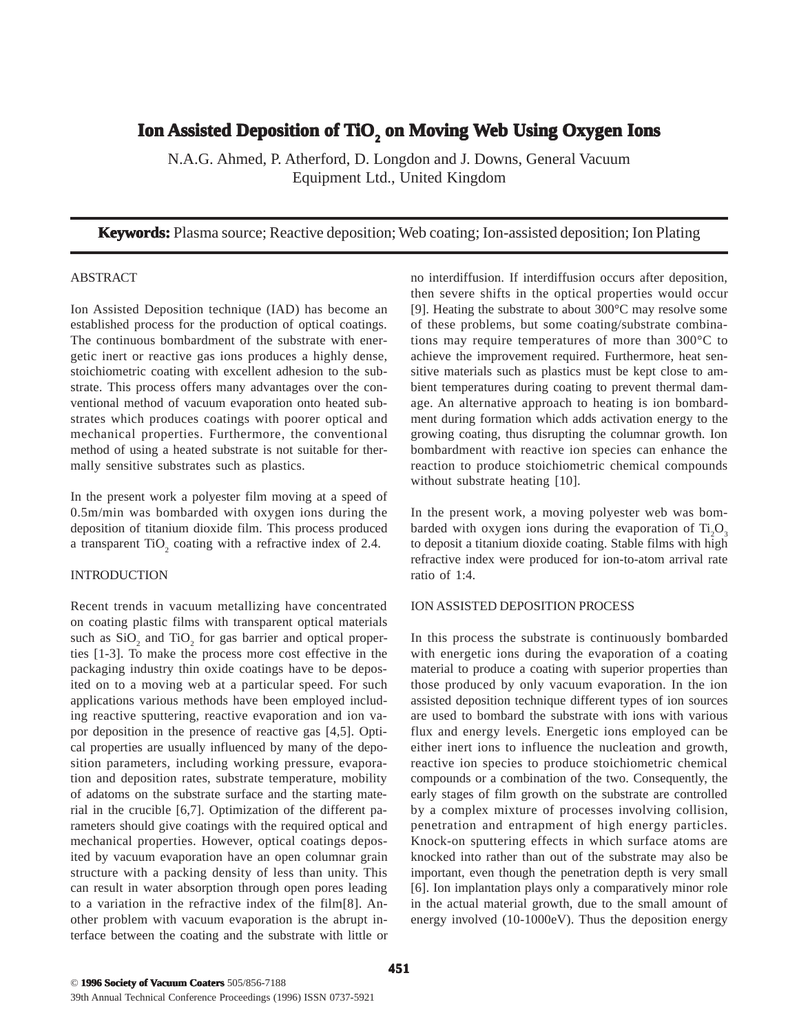# **Ion Assisted De Assisted Deposition of position of TiO2 on Moving Web Using Oxygen Ions en Ions**

N.A.G. Ahmed, P. Atherford, D. Longdon and J. Downs, General Vacuum Equipment Ltd., United Kingdom

**Keywords:** Plasma source; Reactive deposition; Web coating; Ion-assisted deposition; Ion Plating

#### ABSTRACT

Ion Assisted Deposition technique (IAD) has become an established process for the production of optical coatings. The continuous bombardment of the substrate with energetic inert or reactive gas ions produces a highly dense, stoichiometric coating with excellent adhesion to the substrate. This process offers many advantages over the conventional method of vacuum evaporation onto heated substrates which produces coatings with poorer optical and mechanical properties. Furthermore, the conventional method of using a heated substrate is not suitable for thermally sensitive substrates such as plastics.

In the present work a polyester film moving at a speed of 0.5m/min was bombarded with oxygen ions during the deposition of titanium dioxide film. This process produced a transparent  $TiO<sub>2</sub>$  coating with a refractive index of 2.4.

### INTRODUCTION

Recent trends in vacuum metallizing have concentrated on coating plastic films with transparent optical materials such as  $SiO_2$  and  $TiO_2$  for gas barrier and optical properties [1-3]. To make the process more cost effective in the packaging industry thin oxide coatings have to be deposited on to a moving web at a particular speed. For such applications various methods have been employed including reactive sputtering, reactive evaporation and ion vapor deposition in the presence of reactive gas [4,5]. Optical properties are usually influenced by many of the deposition parameters, including working pressure, evaporation and deposition rates, substrate temperature, mobility of adatoms on the substrate surface and the starting material in the crucible [6,7]. Optimization of the different parameters should give coatings with the required optical and mechanical properties. However, optical coatings deposited by vacuum evaporation have an open columnar grain structure with a packing density of less than unity. This can result in water absorption through open pores leading to a variation in the refractive index of the film[8]. Another problem with vacuum evaporation is the abrupt interface between the coating and the substrate with little or no interdiffusion. If interdiffusion occurs after deposition, then severe shifts in the optical properties would occur [9]. Heating the substrate to about 300°C may resolve some of these problems, but some coating/substrate combinations may require temperatures of more than 300°C to achieve the improvement required. Furthermore, heat sensitive materials such as plastics must be kept close to ambient temperatures during coating to prevent thermal damage. An alternative approach to heating is ion bombardment during formation which adds activation energy to the growing coating, thus disrupting the columnar growth. Ion bombardment with reactive ion species can enhance the reaction to produce stoichiometric chemical compounds without substrate heating [10].

In the present work, a moving polyester web was bombarded with oxygen ions during the evaporation of  $Ti_2O_3$ to deposit a titanium dioxide coating. Stable films with high refractive index were produced for ion-to-atom arrival rate ratio of 1:4.

### ION ASSISTED DEPOSITION PROCESS

In this process the substrate is continuously bombarded with energetic ions during the evaporation of a coating material to produce a coating with superior properties than those produced by only vacuum evaporation. In the ion assisted deposition technique different types of ion sources are used to bombard the substrate with ions with various flux and energy levels. Energetic ions employed can be either inert ions to influence the nucleation and growth, reactive ion species to produce stoichiometric chemical compounds or a combination of the two. Consequently, the early stages of film growth on the substrate are controlled by a complex mixture of processes involving collision, penetration and entrapment of high energy particles. Knock-on sputtering effects in which surface atoms are knocked into rather than out of the substrate may also be important, even though the penetration depth is very small [6]. Ion implantation plays only a comparatively minor role in the actual material growth, due to the small amount of energy involved (10-1000eV). Thus the deposition energy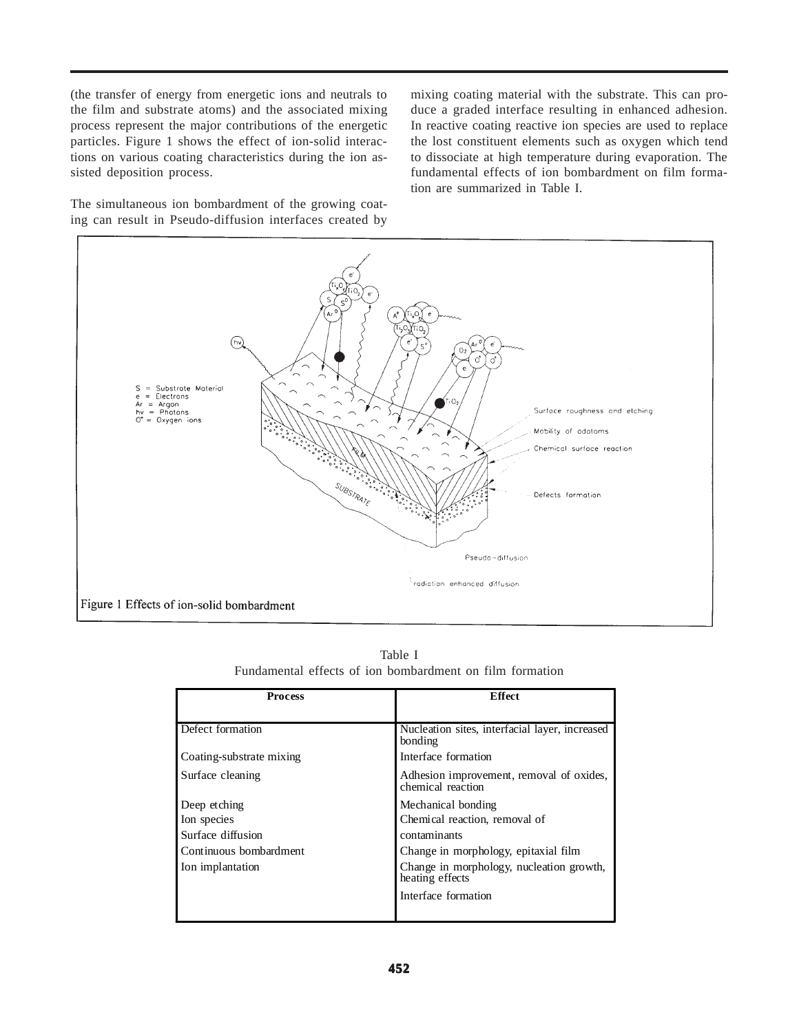(the transfer of energy from energetic ions and neutrals to the film and substrate atoms) and the associated mixing process represent the major contributions of the energetic particles. Figure 1 shows the effect of ion-solid interactions on various coating characteristics during the ion assisted deposition process.

The simultaneous ion bombardment of the growing coating can result in Pseudo-diffusion interfaces created by mixing coating material with the substrate. This can produce a graded interface resulting in enhanced adhesion. In reactive coating reactive ion species are used to replace the lost constituent elements such as oxygen which tend to dissociate at high temperature during evaporation. The fundamental effects of ion bombardment on film formation are summarized in Table I.



Table I Fundamental effects of ion bombardment on film formation

| <b>Process</b>                                                                                 | <b>Effect</b>                                                                                                                                                                                     |
|------------------------------------------------------------------------------------------------|---------------------------------------------------------------------------------------------------------------------------------------------------------------------------------------------------|
| Defect formation                                                                               | Nucleation sites, interfacial layer, increased<br>bonding                                                                                                                                         |
| Coating-substrate mixing                                                                       | Interface formation                                                                                                                                                                               |
| Surface cleaning                                                                               | Adhesion improvement, removal of oxides,<br>chemical reaction                                                                                                                                     |
| Deep etching<br>Ion species<br>Surface diffusion<br>Continuous bombardment<br>Ion implantation | Mechanical bonding<br>Chemical reaction, removal of<br>contaminants<br>Change in morphology, epitaxial film<br>Change in morphology, nucleation growth,<br>heating effects<br>Interface formation |
|                                                                                                |                                                                                                                                                                                                   |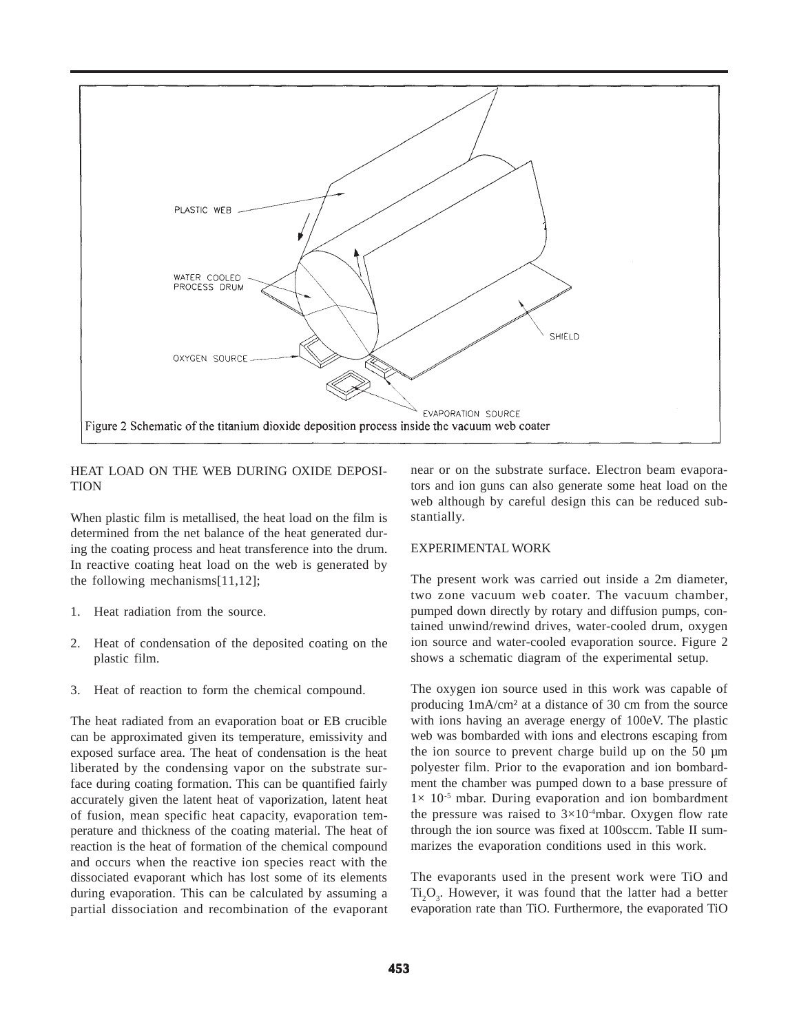

### HEAT LOAD ON THE WEB DURING OXIDE DEPOSI-**TION**

When plastic film is metallised, the heat load on the film is determined from the net balance of the heat generated during the coating process and heat transference into the drum. In reactive coating heat load on the web is generated by the following mechanisms[11,12];

- 1. Heat radiation from the source.
- 2. Heat of condensation of the deposited coating on the plastic film.
- 3. Heat of reaction to form the chemical compound.

The heat radiated from an evaporation boat or EB crucible can be approximated given its temperature, emissivity and exposed surface area. The heat of condensation is the heat liberated by the condensing vapor on the substrate surface during coating formation. This can be quantified fairly accurately given the latent heat of vaporization, latent heat of fusion, mean specific heat capacity, evaporation temperature and thickness of the coating material. The heat of reaction is the heat of formation of the chemical compound and occurs when the reactive ion species react with the dissociated evaporant which has lost some of its elements during evaporation. This can be calculated by assuming a partial dissociation and recombination of the evaporant near or on the substrate surface. Electron beam evaporators and ion guns can also generate some heat load on the web although by careful design this can be reduced substantially.

### EXPERIMENTAL WORK

The present work was carried out inside a 2m diameter, two zone vacuum web coater. The vacuum chamber, pumped down directly by rotary and diffusion pumps, contained unwind/rewind drives, water-cooled drum, oxygen ion source and water-cooled evaporation source. Figure 2 shows a schematic diagram of the experimental setup.

The oxygen ion source used in this work was capable of producing 1mA/cm² at a distance of 30 cm from the source with ions having an average energy of 100eV. The plastic web was bombarded with ions and electrons escaping from the ion source to prevent charge build up on the 50 µm polyester film. Prior to the evaporation and ion bombardment the chamber was pumped down to a base pressure of  $1 \times 10^{-5}$  mbar. During evaporation and ion bombardment the pressure was raised to  $3\times10^{-4}$ mbar. Oxygen flow rate through the ion source was fixed at 100sccm. Table II summarizes the evaporation conditions used in this work.

The evaporants used in the present work were TiO and  $Ti<sub>2</sub>O<sub>3</sub>$ . However, it was found that the latter had a better evaporation rate than TiO. Furthermore, the evaporated TiO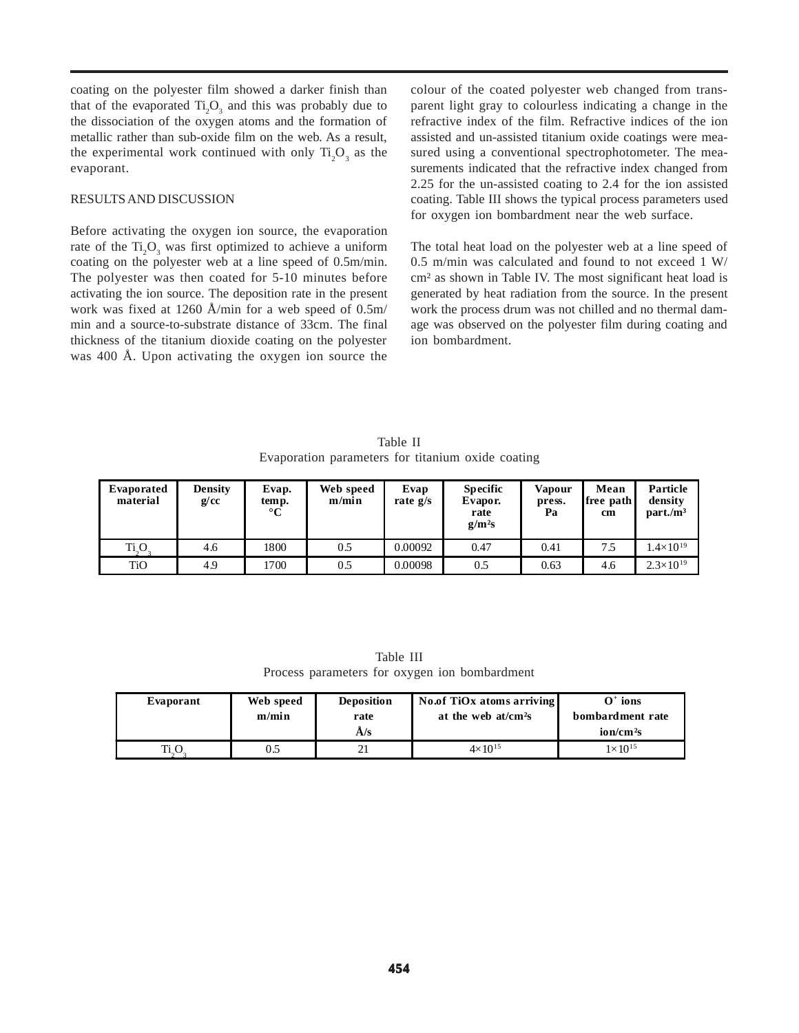coating on the polyester film showed a darker finish than that of the evaporated  $Ti_2O_3$  and this was probably due to the dissociation of the oxygen atoms and the formation of metallic rather than sub-oxide film on the web. As a result, the experimental work continued with only  $Ti_2O_3$  as the evaporant.

#### RESULTS AND DISCUSSION

Before activating the oxygen ion source, the evaporation rate of the  $Ti<sub>2</sub>O<sub>3</sub>$  was first optimized to achieve a uniform coating on the polyester web at a line speed of 0.5m/min. The polyester was then coated for 5-10 minutes before activating the ion source. The deposition rate in the present work was fixed at 1260 Å/min for a web speed of 0.5m/ min and a source-to-substrate distance of 33cm. The final thickness of the titanium dioxide coating on the polyester was 400 Å. Upon activating the oxygen ion source the colour of the coated polyester web changed from transparent light gray to colourless indicating a change in the refractive index of the film. Refractive indices of the ion assisted and un-assisted titanium oxide coatings were measured using a conventional spectrophotometer. The measurements indicated that the refractive index changed from 2.25 for the un-assisted coating to 2.4 for the ion assisted coating. Table III shows the typical process parameters used for oxygen ion bombardment near the web surface.

The total heat load on the polyester web at a line speed of 0.5 m/min was calculated and found to not exceed 1 W/ cm² as shown in Table IV. The most significant heat load is generated by heat radiation from the source. In the present work the process drum was not chilled and no thermal damage was observed on the polyester film during coating and ion bombardment.

Table II Evaporation parameters for titanium oxide coating

| Evaporated<br>material | Density<br>g/cc | Evap.<br>temp.<br>$^{\circ}C$ | Web speed<br>m/min | Evap<br>rate $g/s$ | <b>Specific</b><br>Evapor.<br>rate<br>$g/m^2s$ | <b>Vapour</b><br>press.<br>Pa | Mean<br>free path<br>cm | Particle<br>density<br>$part./m^3$ |
|------------------------|-----------------|-------------------------------|--------------------|--------------------|------------------------------------------------|-------------------------------|-------------------------|------------------------------------|
| Ti <sub>2</sub> O      | 4.6             | 1800                          | 0.5                | 0.00092            | 0.47                                           | 0.41                          | 7.5                     | $1.4\times10^{19}$                 |
| TiO                    | 4.9             | 1700                          | 0.5                | 0.00098            | 0.5                                            | 0.63                          | 4.6                     | $2.3\times10^{19}$                 |

Table III Process parameters for oxygen ion bombardment

| Evaporant | Web speed<br>m/min | <b>Deposition</b><br>rate<br>A/s | No.of TiOx atoms arriving<br>at the web $at/cm2s$ | $O^+$ ions<br>bombardment rate<br>ion/cm <sup>2</sup> S |
|-----------|--------------------|----------------------------------|---------------------------------------------------|---------------------------------------------------------|
|           | 0.5                | 21                               | $4 \times 10^{15}$                                | $1 \times 10^{15}$                                      |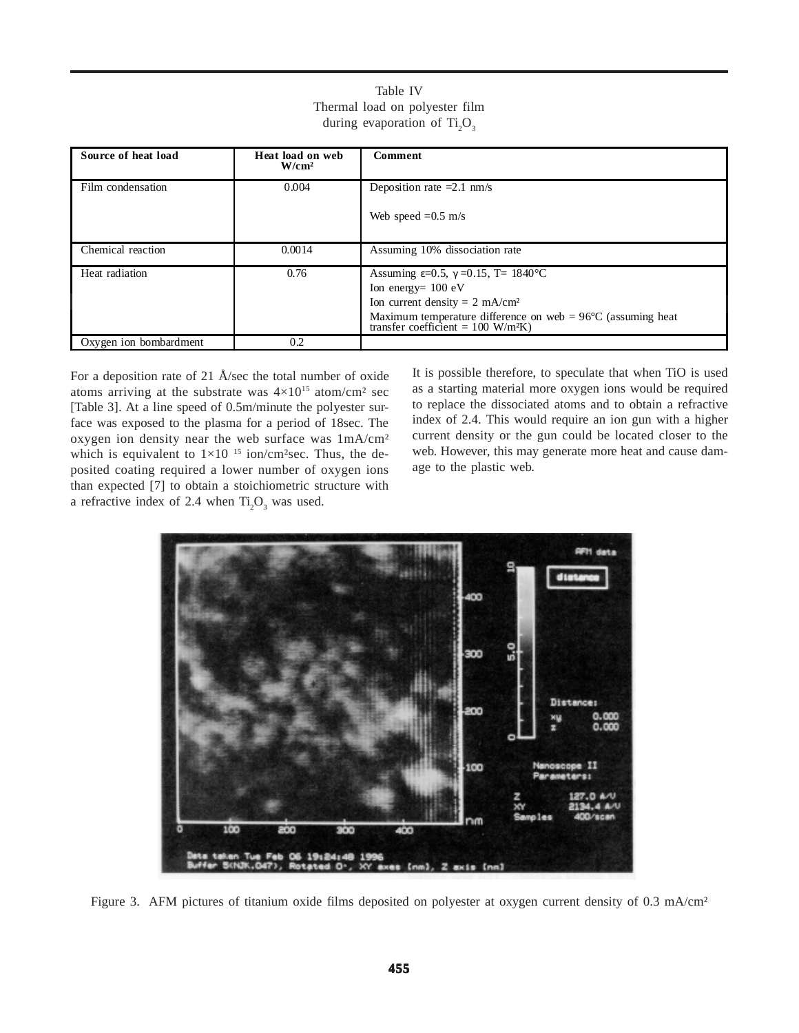| Source of heat load    | Heat load on web<br>$W/cm^2$ | <b>Comment</b>                                                                                                                                                                                                                                                  |
|------------------------|------------------------------|-----------------------------------------------------------------------------------------------------------------------------------------------------------------------------------------------------------------------------------------------------------------|
| Film condensation      | 0.004                        | Deposition rate $=2.1$ nm/s                                                                                                                                                                                                                                     |
|                        |                              | Web speed $=0.5$ m/s                                                                                                                                                                                                                                            |
| Chemical reaction      | 0.0014                       | Assuming 10% dissociation rate                                                                                                                                                                                                                                  |
| Heat radiation         | 0.76                         | Assuming $\varepsilon = 0.5$ , $\gamma = 0.15$ , T= 1840°C<br>Ion energy= $100 \text{ eV}$<br>Ion current density = $2 \text{ mA/cm}^2$<br>Maximum temperature difference on web = $96^{\circ}$ C (assuming heat transfer coefficient = 100 W/m <sup>2</sup> K) |
| Oxygen ion bombardment | 0.2                          |                                                                                                                                                                                                                                                                 |

Table IV Thermal load on polyester film during evaporation of  $Ti<sub>2</sub>O<sub>3</sub>$ 

For a deposition rate of 21 Å/sec the total number of oxide atoms arriving at the substrate was  $4\times10^{15}$  atom/cm<sup>2</sup> sec [Table 3]. At a line speed of 0.5m/minute the polyester surface was exposed to the plasma for a period of 18sec. The oxygen ion density near the web surface was 1mA/cm² which is equivalent to  $1\times10^{-15}$  ion/cm<sup>2</sup>sec. Thus, the deposited coating required a lower number of oxygen ions than expected [7] to obtain a stoichiometric structure with a refractive index of 2.4 when  $Ti_2O_3$  was used.

It is possible therefore, to speculate that when TiO is used as a starting material more oxygen ions would be required to replace the dissociated atoms and to obtain a refractive index of 2.4. This would require an ion gun with a higher current density or the gun could be located closer to the web. However, this may generate more heat and cause damage to the plastic web.



Figure 3. AFM pictures of titanium oxide films deposited on polyester at oxygen current density of 0.3 mA/cm<sup>2</sup>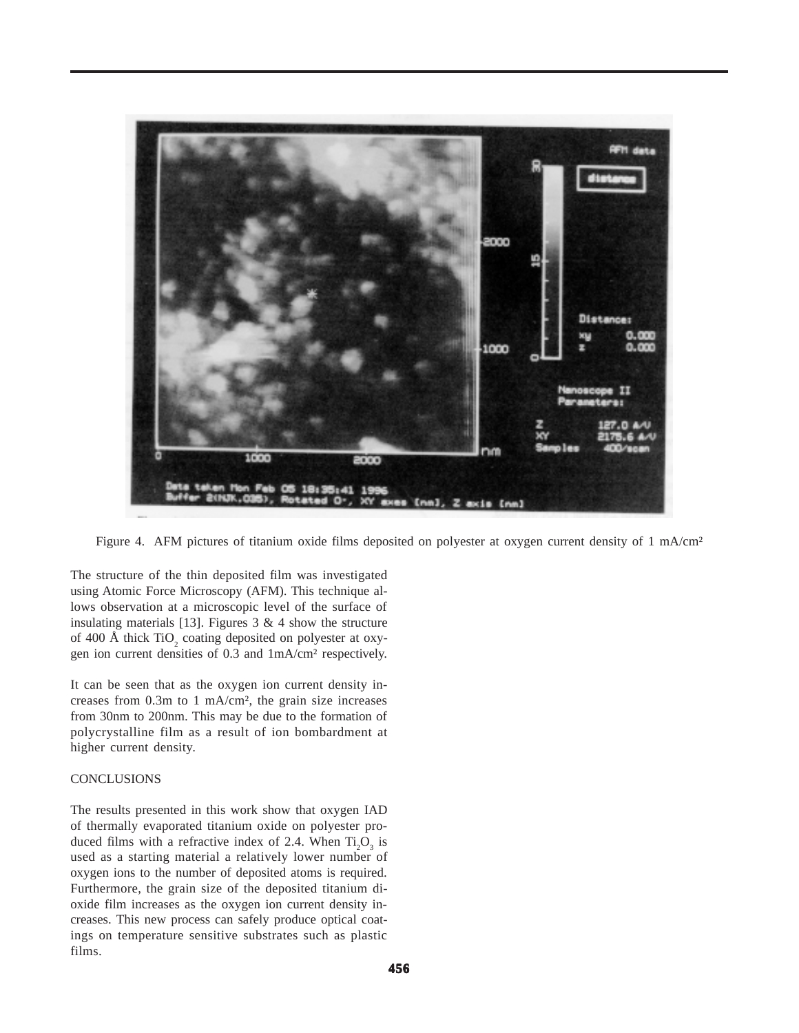

Figure 4. AFM pictures of titanium oxide films deposited on polyester at oxygen current density of 1 mA/cm<sup>2</sup>

The structure of the thin deposited film was investigated using Atomic Force Microscopy (AFM). This technique allows observation at a microscopic level of the surface of insulating materials [13]. Figures  $3 \& 4$  show the structure of 400 Å thick  $\text{TiO}_2$  coating deposited on polyester at oxygen ion current densities of 0.3 and 1mA/cm² respectively.

It can be seen that as the oxygen ion current density increases from 0.3m to 1 mA/cm², the grain size increases from 30nm to 200nm. This may be due to the formation of polycrystalline film as a result of ion bombardment at higher current density.

## **CONCLUSIONS**

The results presented in this work show that oxygen IAD of thermally evaporated titanium oxide on polyester produced films with a refractive index of 2.4. When  $Ti_2O_3$  is used as a starting material a relatively lower number of oxygen ions to the number of deposited atoms is required. Furthermore, the grain size of the deposited titanium dioxide film increases as the oxygen ion current density increases. This new process can safely produce optical coatings on temperature sensitive substrates such as plastic films.